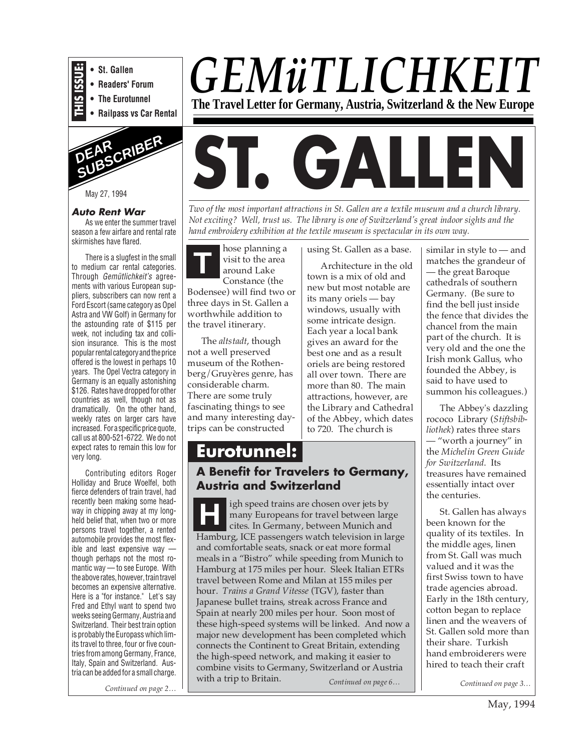

#### **Auto Rent War**

As we enter the summer travel season a few airfare and rental rate skirmishes have flared.

There is a slugfest in the small to medium car rental categories. Through Gemütlichkeit's agreements with various European suppliers, subscribers can now rent a Ford Escort (same category as Opel Astra and VW Golf) in Germany for the astounding rate of \$115 per week, not including tax and collision insurance. This is the most popular rental category and the price offered is the lowest in perhaps 10 years. The Opel Vectra category in Germany is an equally astonishing \$126. Rates have dropped for other countries as well, though not as dramatically. On the other hand, weekly rates on larger cars have increased. For a specific price quote, call us at 800-521-6722. We do not expect rates to remain this low for very long.

Contributing editors Roger Holliday and Bruce Woelfel, both fierce defenders of train travel, had recently been making some headway in chipping away at my longheld belief that, when two or more persons travel together, a rented automobile provides the most flexible and least expensive way though perhaps not the most romantic way — to see Europe. With the above rates, however, train travel becomes an expensive alternative. Here is a "for instance." Let's say Fred and Ethyl want to spend two weeks seeing Germany, Austria and Switzerland. Their best train option is probably the Europass which limits travel to three, four or five countries from among Germany, France, Italy, Spain and Switzerland. Austria can be added for a small charge.

*Continued on page 2…*

## *GEMüTLICHKEIT* **The Travel Letter for Germany, Austria, Switzerland & the New Europe**



*Two of the most important attractions in St. Gallen are a textile museum and a church library. Not exciting? Well, trust us. The library is one of Switzerland's great indoor sights and the hand embroidery exhibition at the textile museum is spectacular in its own way.*

**T** hose planning a visit to the area around Lake Constance (the Bodensee) will find two or three days in St. Gallen a worthwhile addition to the travel itinerary.

The *altstadt*, though not a well preserved museum of the Rothenberg/Gruyères genre, has considerable charm. There are some truly fascinating things to see and many interesting daytrips can be constructed

using St. Gallen as a base.

Architecture in the old town is a mix of old and new but most notable are its many oriels — bay windows, usually with some intricate design. Each year a local bank gives an award for the best one and as a result oriels are being restored all over town. There are more than 80. The main attractions, however, are the Library and Cathedral of the Abbey, which dates to 720. The church is

### **Eurotunnel: A Benefit for Travelers to Germany, Austria and Switzerland**

**H** igh speed trains are chosen over jets by many Europeans for travel between large cites. In Germany, between Munich and Hamburg, ICE passengers watch television in large and comfortable seats, snack or eat more formal meals in a "Bistro" while speeding from Munich to Hamburg at 175 miles per hour. Sleek Italian ETRs travel between Rome and Milan at 155 miles per hour. *Trains a Grand Vitesse* (TGV), faster than Japanese bullet trains, streak across France and Spain at nearly 200 miles per hour. Soon most of these high-speed systems will be linked. And now a major new development has been completed which connects the Continent to Great Britain, extending the high-speed network, and making it easier to combine visits to Germany, Switzerland or Austria with a trip to Britain.

*Continued on page 6…*

similar in style to — and matches the grandeur of — the great Baroque cathedrals of southern Germany. (Be sure to find the bell just inside the fence that divides the chancel from the main part of the church. It is very old and the one the Irish monk Gallus, who founded the Abbey, is said to have used to summon his colleagues.)

The Abbey's dazzling rococo Library (*Stiftsbibliothek*) rates three stars — "worth a journey" in the *Michelin Green Guide for Switzerland*. Its treasures have remained essentially intact over the centuries.

St. Gallen has always been known for the quality of its textiles. In the middle ages, linen from St. Gall was much valued and it was the first Swiss town to have trade agencies abroad. Early in the 18th century, cotton began to replace linen and the weavers of St. Gallen sold more than their share. Turkish hand embroiderers were hired to teach their craft

*Continued on page 3…*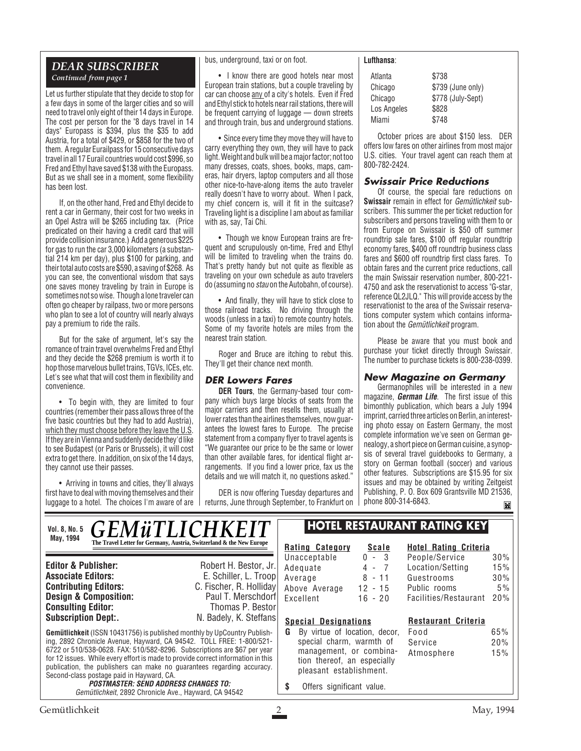### *DEAR SUBSCRIBER Continued from page 1*

Let us further stipulate that they decide to stop for a few days in some of the larger cities and so will need to travel only eight of their 14 days in Europe. The cost per person for the "8 days travel in 14 days" Europass is \$394, plus the \$35 to add Austria, for a total of \$429, or \$858 for the two of them. A regular Eurailpass for 15 consecutive days travel in all 17 Eurail countries would cost \$996, so Fred and Ethyl have saved \$138 with the Europass. But as we shall see in a moment, some flexibility has been lost.

If, on the other hand, Fred and Ethyl decide to rent a car in Germany, their cost for two weeks in an Opel Astra will be \$265 including tax. (Price predicated on their having a credit card that will provide collision insurance.) Add a generous \$225 for gas to run the car 3,000 kilometers (a substantial 214 km per day), plus \$100 for parking, and their total auto costs are \$590, a saving of \$268. As you can see, the conventional wisdom that says one saves money traveling by train in Europe is sometimes not so wise. Though a lone traveler can often go cheaper by railpass, two or more persons who plan to see a lot of country will nearly always pay a premium to ride the rails.

But for the sake of argument, let's say the romance of train travel overwhelms Fred and Ethyl and they decide the \$268 premium is worth it to hop those marvelous bullet trains, TGVs, ICEs, etc. Let's see what that will cost them in flexibility and convenience.

• To begin with, they are limited to four countries (remember their pass allows three of the five basic countries but they had to add Austria), which they must choose before they leave the U.S. If they are in Vienna and suddenly decide they'd like to see Budapest (or Paris or Brussels), it will cost extra to get there. In addition, on six of the 14 days, they cannot use their passes.

• Arriving in towns and cities, they'll always first have to deal with moving themselves and their luggage to a hotel. The choices I'm aware of are bus, underground, taxi or on foot.

• I know there are good hotels near most European train stations, but a couple traveling by car can choose any of a city's hotels. Even if Fred and Ethyl stick to hotels near rail stations, there will be frequent carrying of luggage — down streets and through train, bus and underground stations.

• Since every time they move they will have to carry everything they own, they will have to pack light. Weight and bulk will be a major factor; not too many dresses, coats, shoes, books, maps, cameras, hair dryers, laptop computers and all those other nice-to-have-along items the auto traveler really doesn't have to worry about. When I pack, my chief concern is, will it fit in the suitcase? Traveling light is a discipline I am about as familiar with as, say, Tai Chi.

• Though we know European trains are frequent and scrupulously on-time, Fred and Ethyl will be limited to traveling when the trains do. That's pretty handy but not quite as flexible as traveling on your own schedule as auto travelers do (assuming no stau on the Autobahn, of course).

• And finally, they will have to stick close to those railroad tracks. No driving through the woods (unless in a taxi) to remote country hotels. Some of my favorite hotels are miles from the nearest train station.

Roger and Bruce are itching to rebut this. They'll get their chance next month.

### **DER Lowers Fares**

**DER Tours**, the Germany-based tour company which buys large blocks of seats from the major carriers and then resells them, usually at lower rates than the airlines themselves, now guarantees the lowest fares to Europe. The precise statement from a company flyer to travel agents is "We guarantee our price to be the same or lower than other available fares, for identical flight arrangements. If you find a lower price, fax us the details and we will match it, no questions asked."

DER is now offering Tuesday departures and returns, June through September, to Frankfurt on

#### **Lufthansa**:

| Atlanta     | \$738             |
|-------------|-------------------|
| Chicago     | \$739 (June only) |
| Chicago     | \$778 (July-Sept) |
| Los Angeles | \$828             |
| Miami       | \$748             |

October prices are about \$150 less. DER offers low fares on other airlines from most major U.S. cities. Your travel agent can reach them at 800-782-2424.

### **Swissair Price Reductions**

Of course, the special fare reductions on **Swissair** remain in effect for Gemütlichkeit subscribers. This summer the per ticket reduction for subscribers and persons traveling with them to or from Europe on Swissair is \$50 off summer roundtrip sale fares, \$100 off regular roundtrip economy fares, \$400 off roundtrip business class fares and \$600 off roundtrip first class fares. To obtain fares and the current price reductions, call the main Swissair reservation number, 800-221- 4750 and ask the reservationist to access "G-star, reference QL2JLQ." This will provide access by the reservationist to the area of the Swissair reservations computer system which contains information about the *Gemütlichkeit* program.

Please be aware that you must book and purchase your ticket directly through Swissair. The number to purchase tickets is 800-238-0399.

### **New Magazine on Germany**

Germanophiles will be interested in a new magazine, **German Life**. The first issue of this bimonthly publication, which bears a July 1994 imprint, carried three articles on Berlin, an interesting photo essay on Eastern Germany, the most complete information we've seen on German genealogy, a short piece on German cuisine, a synopsis of several travel guidebooks to Germany, a story on German football (soccer) and various other features. Subscriptions are \$15.95 for six issues and may be obtained by writing Zeitgeist Publishing, P. O. Box 609 Grantsville MD 21536, phone 800-314-6843.M

**Gemütlichkeit** (ISSN 10431756) is published monthly by UpCountry Publishing, 2892 Chronicle Avenue, Hayward, CA 94542. TOLL FREE: 1-800/521- 6722 or 510/538-0628. FAX: 510/582-8296. Subscriptions are \$67 per year for 12 issues. While every effort is made to provide correct information in this publication, the publishers can make no guarantees regarding accuracy. Second-class postage paid in Hayward, CA. **POSTMASTER: SEND ADDRESS CHANGES TO:** Gemütlichkeit, 2892 Chronicle Ave., Hayward, CA 94542 **Editor & Publisher:** Robert H. Bestor, Jr. **Associate Editors:** E. Schiller, L. Troop<br> **C.** Fischer, R. Holliday **C. Fischer, R. Holliday**<br>Paul T. Merschdorf **Design & Composition:** Paul T. Merschdorf **Consulting Editor:** Paul T. Merschdorf **Consulting Editor:** Paul Thomas P. Bestor **Consulting Editor:**<br>Subscription Dept:. N. Badely, K. Steffans *GEMüTLICHKEIT* **The Travel Letter for Germany, Austria, Switzerland & the New Europe**  $\mathbb{R}$ **Rating Category Scale** Unacceptable 0 - 3<br>Adequate 4 - 7 Adequate 4 - 7<br>Average 8 - 11 Average Above Average 12 - 15 Excellent 16 - 20 **Hotel Rating Criteria** People/Service 30% Location/Setting 15% Guestrooms 30% Public rooms 5% Facilities/Restaurant 20% **Special Designations G** By virtue of location, decor, special charm, warmth of management, or combination thereof, an especially pleasant establishment. **\$** Offers significant value. **HOTEL RESTAURANT RATING KEY Restaurant Criteria** Food 65% Service 20% Atmosphere 15% **Vol. 8, No. 5 May, 1994**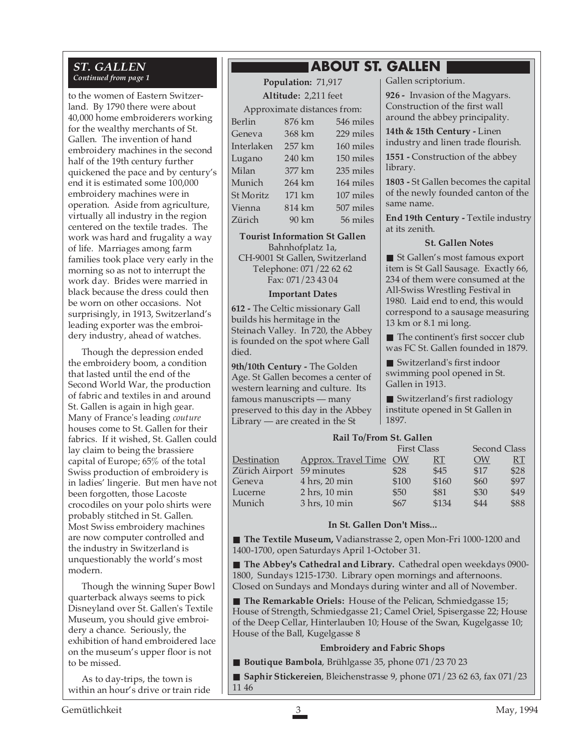## *ST. GALLEN*

to the women of Eastern Switzerland. By 1790 there were about 40,000 home embroiderers working for the wealthy merchants of St. Gallen. The invention of hand embroidery machines in the second half of the 19th century further quickened the pace and by century's end it is estimated some 100,000 embroidery machines were in operation. Aside from agriculture, virtually all industry in the region centered on the textile trades. The work was hard and frugality a way of life. Marriages among farm families took place very early in the morning so as not to interrupt the work day. Brides were married in black because the dress could then be worn on other occasions. Not surprisingly, in 1913, Switzerland's leading exporter was the embroidery industry, ahead of watches.

Though the depression ended the embroidery boom, a condition that lasted until the end of the Second World War, the production of fabric and textiles in and around St. Gallen is again in high gear. Many of France's leading *couture* houses come to St. Gallen for their fabrics. If it wished, St. Gallen could lay claim to being the brassiere capital of Europe; 65% of the total Swiss production of embroidery is in ladies' lingerie. But men have not been forgotten, those Lacoste crocodiles on your polo shirts were probably stitched in St. Gallen. Most Swiss embroidery machines are now computer controlled and the industry in Switzerland is unquestionably the world's most modern.

Though the winning Super Bowl quarterback always seems to pick Disneyland over St. Gallen's Textile Museum, you should give embroidery a chance. Seriously, the exhibition of hand embroidered lace on the museum's upper floor is not to be missed.

As to day-trips, the town is within an hour's drive or train ride

### **ABOUT ST. GALLEN**

*Continued from page 1* **Population:** 71,917 **Altitude:** 2,211 feet

Approximate distances from:

| Berlin           | 876 km | 546 miles |
|------------------|--------|-----------|
| Geneva           | 368 km | 229 miles |
| Interlaken       | 257 km | 160 miles |
| Lugano           | 240 km | 150 miles |
| Milan            | 377 km | 235 miles |
| Munich           | 264 km | 164 miles |
| <b>St Moritz</b> | 171 km | 107 miles |
| Vienna           | 814 km | 507 miles |
| Zürich           | 90 km  | 56 miles  |

**Tourist Information St Gallen** Bahnhofplatz 1a, CH-9001 St Gallen, Switzerland Telephone: 071/22 62 62

Fax: 071/23 43 04

#### **Important Dates**

**612 -** The Celtic missionary Gall builds his hermitage in the Steinach Valley. In 720, the Abbey is founded on the spot where Gall died.

**9th/10th Century -** The Golden Age. St Gallen becomes a center of western learning and culture. Its famous manuscripts — many preserved to this day in the Abbey Library — are created in the St

Gallen scriptorium.

**926 -** Invasion of the Magyars. Construction of the first wall around the abbey principality.

**14th & 15th Century -** Linen industry and linen trade flourish.

**1551 -** Construction of the abbey library.

**1803 -** St Gallen becomes the capital of the newly founded canton of the same name.

**End 19th Century -** Textile industry at its zenith.

### **St. Gallen Notes**

■ St Gallen's most famous export item is St Gall Sausage. Exactly 66, 234 of them were consumed at the All-Swiss Wrestling Festival in 1980. Laid end to end, this would correspond to a sausage measuring 13 km or 8.1 mi long.

■ The continent's first soccer club was FC St. Gallen founded in 1879.

■ Switzerland's first indoor swimming pool opened in St. Gallen in 1913.

■ Switzerland's first radiology institute opened in St Gallen in 1897.

### **Rail To/From St. Gallen**

| <b>First Class</b> |       |                        | Second Class |      |  |
|--------------------|-------|------------------------|--------------|------|--|
|                    |       | RT.                    | <b>OW</b>    | RT.  |  |
| 59 minutes         | \$28  | \$45                   | \$17         | \$28 |  |
| 4 hrs, 20 min      | \$100 | \$160                  | \$60         | \$97 |  |
| $2$ hrs, 10 min    | \$50  | \$81                   | \$30         | \$49 |  |
| 3 hrs, 10 min      | \$67  | \$134                  | \$44         | \$88 |  |
|                    |       | Approx. Travel Time OW |              |      |  |

### **In St. Gallen Don't Miss...**

■ **The Textile Museum, Vadianstrasse 2, open Mon-Fri 1000-1200 and** 1400-1700, open Saturdays April 1-October 31.

■ **The Abbey's Cathedral and Library.** Cathedral open weekdays 0900-1800, Sundays 1215-1730. Library open mornings and afternoons. Closed on Sundays and Mondays during winter and all of November.

■ **The Remarkable Oriels:** House of the Pelican, Schmiedgasse 15; House of Strength, Schmiedgasse 21; Camel Oriel, Spisergasse 22; House of the Deep Cellar, Hinterlauben 10; House of the Swan, Kugelgasse 10; House of the Ball, Kugelgasse 8

### **Embroidery and Fabric Shops**

■ **Boutique Bambola**, Brühlgasse 35, phone 071/23 70 23

■ **Saphir Stickereien**, Bleichenstrasse 9, phone 071/23 62 63, fax 071/23 11 46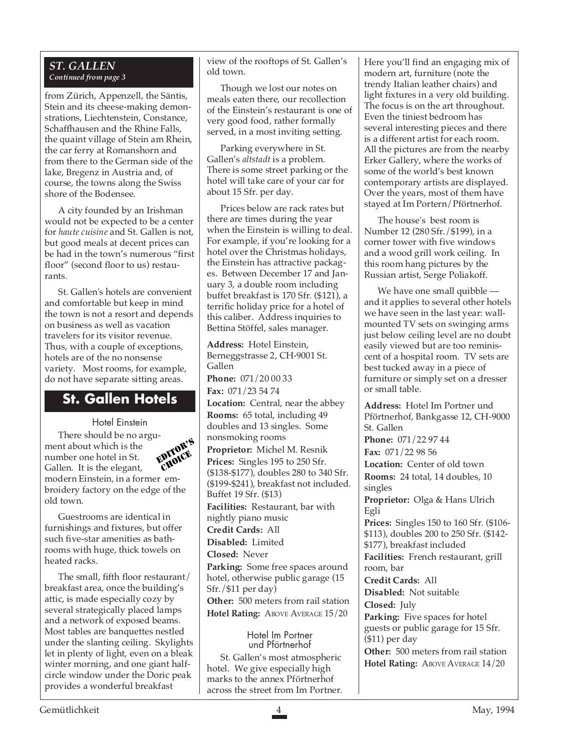### *ST. GALLEN Continued from page 3*

from Zürich, Appenzell, the Säntis, Stein and its cheese-making demonstrations, Liechtenstein, Constance, Schaffhausen and the Rhine Falls, the quaint village of Stein am Rhein, the car ferry at Romanshorn and from there to the German side of the lake, Bregenz in Austria and, of course, the towns along the Swiss shore of the Bodensee.

A city founded by an Irishman would not be expected to be a center for *haute cuisine* and St. Gallen is not, but good meals at decent prices can be had in the town's numerous "first floor" (second floor to us) restaurants.

St. Gallen's hotels are convenient and comfortable but keep in mind the town is not a resort and depends on business as well as vacation travelers for its visitor revenue. Thus, with a couple of exceptions, hotels are of the no nonsense variety. Most rooms, for example, do not have separate sitting areas.

### **St. Gallen Hotels**

Hotel Einstein There should be no argument about which is the number one hotel in St. Gallen. It is the elegant, modern Einstein, in a former embroidery factory on the edge of the old town. EDITOR'S CHOICE

Guestrooms are identical in furnishings and fixtures, but offer such five-star amenities as bathrooms with huge, thick towels on heated racks.

The small, fifth floor restaurant/ breakfast area, once the building's attic, is made especially cozy by several strategically placed lamps and a network of exposed beams. Most tables are banquettes nestled under the slanting ceiling. Skylights let in plenty of light, even on a bleak winter morning, and one giant halfcircle window under the Doric peak provides a wonderful breakfast

view of the rooftops of St. Gallen's old town.

Though we lost our notes on meals eaten there, our recollection of the Einstein's restaurant is one of very good food, rather formally served, in a most inviting setting.

Parking everywhere in St. Gallen's *altstadt* is a problem. There is some street parking or the hotel will take care of your car for about 15 Sfr. per day.

Prices below are rack rates but there are times during the year when the Einstein is willing to deal. For example, if you're looking for a hotel over the Christmas holidays, the Einstein has attractive packages. Between December 17 and January 3, a double room including buffet breakfast is 170 Sfr. (\$121), a terrific holiday price for a hotel of this caliber. Address inquiries to Bettina Stöffel, sales manager.

**Address:** Hotel Einstein, Berneggstrasse 2, CH-9001 St. Gallen

**Phone:** 071/20 00 33 **Fax:** 071/23 54 74

**Location:** Central, near the abbey **Rooms:** 65 total, including 49 doubles and 13 singles. Some

nonsmoking rooms

**Proprietor:** Michel M. Resnik **Prices:** Singles 195 to 250 Sfr. (\$138-\$177), doubles 280 to 340 Sfr. (\$199-\$241), breakfast not included. Buffet 19 Sfr. (\$13)

**Facilities:** Restaurant, bar with nightly piano music

**Credit Cards:** All

**Disabled:** Limited

**Closed:** Never

**Parking:** Some free spaces around hotel, otherwise public garage (15 Sfr./\$11 per day)

**Other:** 500 meters from rail station

**Hotel Rating: ABOVE AVERAGE 15/20** 

Hotel Im Portner und Pförtnerhof

St. Gallen's most atmospheric hotel. We give especially high marks to the annex Pförtnerhof across the street from Im Portner. Here you'll find an engaging mix of modern art, furniture (note the trendy Italian leather chairs) and light fixtures in a very old building. The focus is on the art throughout. Even the tiniest bedroom has several interesting pieces and there is a different artist for each room. All the pictures are from the nearby Erker Gallery, where the works of some of the world's best known contemporary artists are displayed. Over the years, most of them have stayed at Im Portern/Pförtnerhof.

The house's best room is Number 12 (280 Sfr./\$199), in a corner tower with five windows and a wood grill work ceiling. In this room hang pictures by the Russian artist, Serge Poliakoff.

We have one small quibble and it applies to several other hotels we have seen in the last year: wallmounted TV sets on swinging arms just below ceiling level are no doubt easily viewed but are too reminiscent of a hospital room. TV sets are best tucked away in a piece of furniture or simply set on a dresser or small table.

**Address:** Hotel Im Portner und Pförtnerhof, Bankgasse 12, CH-9000 St. Gallen **Phone:** 071/22 97 44 **Fax:** 071/22 98 56 **Location:** Center of old town **Rooms:** 24 total, 14 doubles, 10 singles **Proprietor:** Olga & Hans Ulrich Egli **Prices:** Singles 150 to 160 Sfr. (\$106- \$113), doubles 200 to 250 Sfr. (\$142- \$177), breakfast included **Facilities:** French restaurant, grill room, bar **Credit Cards:** All **Disabled:** Not suitable **Closed:** July **Parking:** Five spaces for hotel guests or public garage for 15 Sfr. (\$11) per day **Other:** 500 meters from rail station **Hotel Rating: ABOVE AVERAGE 14/20**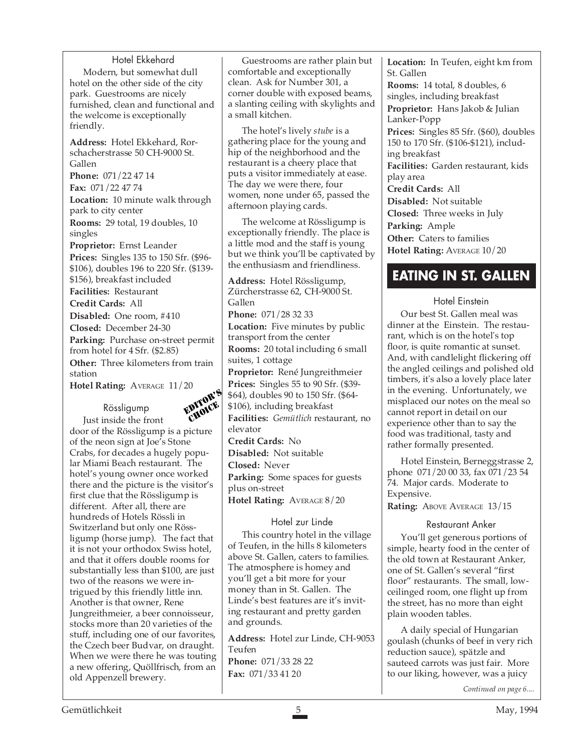Hotel Ekkehard Modern, but somewhat dull hotel on the other side of the city park. Guestrooms are nicely furnished, clean and functional and the welcome is exceptionally friendly.

**Address:** Hotel Ekkehard, Rorschacherstrasse 50 CH-9000 St. Gallen **Phone:** 071/22 47 14

**Fax:** 071/22 47 74

**Location:** 10 minute walk through park to city center **Rooms:** 29 total, 19 doubles, 10 singles

**Proprietor:** Ernst Leander **Prices:** Singles 135 to 150 Sfr. (\$96- \$106), doubles 196 to 220 Sfr. (\$139- \$156), breakfast included

**Facilities:** Restaurant

**Credit Cards:** All

**Disabled:** One room, #410 **Closed:** December 24-30 **Parking:** Purchase on-street permit from hotel for 4 Sfr. (\$2.85) **Other:** Three kilometers from train station

**Hotel Rating:** AVERAGE 11/20

Rössligump



Just inside the front door of the Rössligump is a picture of the neon sign at Joe's Stone Crabs, for decades a hugely popular Miami Beach restaurant. The hotel's young owner once worked there and the picture is the visitor's first clue that the Rössligump is different. After all, there are hundreds of Hotels Rössli in Switzerland but only one Rössligump (horse jump). The fact that it is not your orthodox Swiss hotel, and that it offers double rooms for substantially less than \$100, are just two of the reasons we were intrigued by this friendly little inn. Another is that owner, Rene Jungreithmeier, a beer connoisseur, stocks more than 20 varieties of the stuff, including one of our favorites, the Czech beer Budvar, on draught. When we were there he was touting a new offering, Quöllfrisch, from an old Appenzell brewery.

Guestrooms are rather plain but comfortable and exceptionally clean. Ask for Number 301, a corner double with exposed beams, a slanting ceiling with skylights and a small kitchen.

The hotel's lively *stube* is a gathering place for the young and hip of the neighborhood and the restaurant is a cheery place that puts a visitor immediately at ease. The day we were there, four women, none under 65, passed the afternoon playing cards.

The welcome at Rössligump is exceptionally friendly. The place is a little mod and the staff is young but we think you'll be captivated by the enthusiasm and friendliness.

**Address:** Hotel Rössligump, Zürcherstrasse 62, CH-9000 St. Gallen **Phone:** 071/28 32 33 **Location:** Five minutes by public transport from the center **Rooms:** 20 total including 6 small suites, 1 cottage

**Proprietor:** René Jungreithmeier **Prices:** Singles 55 to 90 Sfr. (\$39- \$64), doubles 90 to 150 Sfr. (\$64- \$106), including breakfast

**Facilities:** *Gemütlich* restaurant, no elevator

**Credit Cards:** No **Disabled:** Not suitable **Closed:** Never **Parking:** Some spaces for guests plus on-street **Hotel Rating:** AVERAGE 8/20

### Hotel zur Linde

This country hotel in the village of Teufen, in the hills 8 kilometers above St. Gallen, caters to families. The atmosphere is homey and you'll get a bit more for your money than in St. Gallen. The Linde's best features are it's inviting restaurant and pretty garden and grounds.

**Address:** Hotel zur Linde, CH-9053 Teufen **Phone:** 071/33 28 22 **Fax:** 071/33 41 20

**Location:** In Teufen, eight km from St. Gallen **Rooms:** 14 total, 8 doubles, 6 singles, including breakfast **Proprietor:** Hans Jakob & Julian Lanker-Popp **Prices:** Singles 85 Sfr. (\$60), doubles 150 to 170 Sfr. (\$106-\$121), including breakfast **Facilities:** Garden restaurant, kids play area **Credit Cards:** All **Disabled:** Not suitable **Closed:** Three weeks in July

**Parking:** Ample **Other:** Caters to families

**Hotel Rating:** AVERAGE 10/20

### **EATING IN ST. GALLEN**

### Hotel Einstein

Our best St. Gallen meal was dinner at the Einstein. The restaurant, which is on the hotel's top floor, is quite romantic at sunset. And, with candlelight flickering off the angled ceilings and polished old timbers, it's also a lovely place later in the evening. Unfortunately, we misplaced our notes on the meal so cannot report in detail on our experience other than to say the food was traditional, tasty and rather formally presented.

Hotel Einstein, Berneggstrasse 2, phone 071/20 00 33, fax 071/23 54 74. Major cards. Moderate to Expensive.

Rating: ABOVE AVERAGE 13/15

### Restaurant Anker

You'll get generous portions of simple, hearty food in the center of the old town at Restaurant Anker, one of St. Gallen's several "first floor" restaurants. The small, lowceilinged room, one flight up from the street, has no more than eight plain wooden tables.

A daily special of Hungarian goulash (chunks of beef in very rich reduction sauce), spätzle and sauteed carrots was just fair. More to our liking, however, was a juicy

*Continued on page 6....*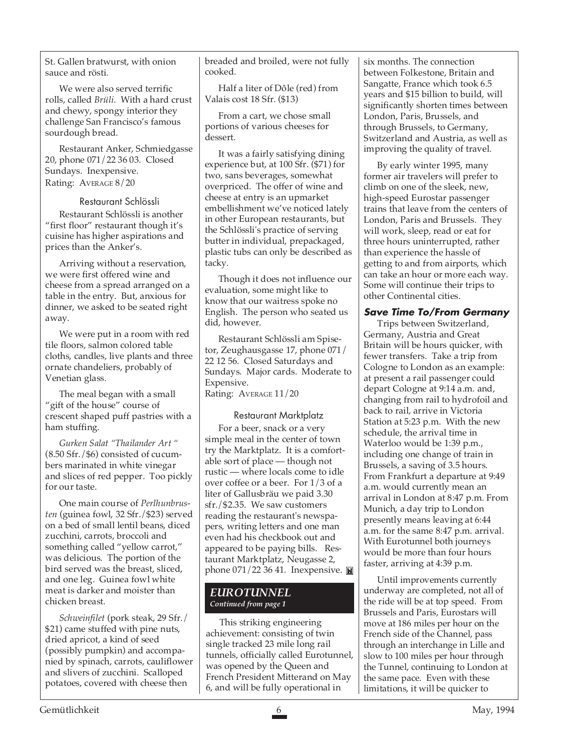St. Gallen bratwurst, with onion sauce and rösti.

We were also served terrific rolls, called *Brüli*. With a hard crust and chewy, spongy interior they challenge San Francisco's famous sourdough bread.

Restaurant Anker, Schmiedgasse 20, phone 071/22 36 03. Closed Sundays. Inexpensive. Rating: AVERAGE 8/20

#### Restaurant Schlössli

Restaurant Schlössli is another "first floor" restaurant though it's cuisine has higher aspirations and prices than the Anker's.

Arriving without a reservation, we were first offered wine and cheese from a spread arranged on a table in the entry. But, anxious for dinner, we asked to be seated right away.

We were put in a room with red tile floors, salmon colored table cloths, candles, live plants and three ornate chandeliers, probably of Venetian glass.

The meal began with a small "gift of the house" course of crescent shaped puff pastries with a ham stuffing.

*Gurken Salat "Thailander Art "* (8.50 Sfr./\$6) consisted of cucumbers marinated in white vinegar and slices of red pepper. Too pickly for our taste.

One main course of *Perlhunbrusten* (guinea fowl, 32 Sfr./\$23) served on a bed of small lentil beans, diced zucchini, carrots, broccoli and something called "yellow carrot," was delicious. The portion of the bird served was the breast, sliced, and one leg. Guinea fowl white meat is darker and moister than chicken breast.

*Schweinfilet* (pork steak, 29 Sfr./ \$21) came stuffed with pine nuts, dried apricot, a kind of seed (possibly pumpkin) and accompanied by spinach, carrots, cauliflower and slivers of zucchini. Scalloped potatoes, covered with cheese then

breaded and broiled, were not fully cooked.

Half a liter of Dôle (red) from Valais cost 18 Sfr. (\$13)

From a cart, we chose small portions of various cheeses for dessert.

It was a fairly satisfying dining experience but, at 100 Sfr. (\$71) for two, sans beverages, somewhat overpriced. The offer of wine and cheese at entry is an upmarket embellishment we've noticed lately in other European restaurants, but the Schlössli's practice of serving butter in individual, prepackaged, plastic tubs can only be described as tacky.

Though it does not influence our evaluation, some might like to know that our waitress spoke no English. The person who seated us did, however.

Restaurant Schlössli am Spisetor, Zeughausgasse 17, phone 071/ 22 12 56. Closed Saturdays and Sundays. Major cards. Moderate to Expensive. Rating: AVERAGE 11/20

### Restaurant Marktplatz

For a beer, snack or a very simple meal in the center of town try the Marktplatz. It is a comfortable sort of place — though not rustic — where locals come to idle over coffee or a beer. For 1/3 of a liter of Gallusbräu we paid 3.30 sfr./\$2.35. We saw customers reading the restaurant's newspapers, writing letters and one man even had his checkbook out and appeared to be paying bills. Restaurant Marktplatz, Neugasse 2, phone 071/22 36 41. Inexpensive.

### *EUROTUNNEL Continued from page 1*

This striking engineering achievement: consisting of twin single tracked 23 mile long rail tunnels, officially called Eurotunnel, was opened by the Queen and French President Mitterand on May 6, and will be fully operational in

six months. The connection between Folkestone, Britain and Sangatte, France which took 6.5 years and \$15 billion to build, will significantly shorten times between London, Paris, Brussels, and through Brussels, to Germany, Switzerland and Austria, as well as improving the quality of travel.

By early winter 1995, many former air travelers will prefer to climb on one of the sleek, new, high-speed Eurostar passenger trains that leave from the centers of London, Paris and Brussels. They will work, sleep, read or eat for three hours uninterrupted, rather than experience the hassle of getting to and from airports, which can take an hour or more each way. Some will continue their trips to other Continental cities.

### **Save Time To/From Germany**

Trips between Switzerland, Germany, Austria and Great Britain will be hours quicker, with fewer transfers. Take a trip from Cologne to London as an example: at present a rail passenger could depart Cologne at 9:14 a.m. and, changing from rail to hydrofoil and back to rail, arrive in Victoria Station at 5:23 p.m. With the new schedule, the arrival time in Waterloo would be 1:39 p.m., including one change of train in Brussels, a saving of 3.5 hours. From Frankfurt a departure at 9:49 a.m. would currently mean an arrival in London at 8:47 p.m. From Munich, a day trip to London presently means leaving at 6:44 a.m. for the same 8:47 p.m. arrival. With Eurotunnel both journeys would be more than four hours faster, arriving at 4:39 p.m.

Until improvements currently underway are completed, not all of the ride will be at top speed. From Brussels and Paris, Eurostars will move at 186 miles per hour on the French side of the Channel, pass through an interchange in Lille and slow to 100 miles per hour through the Tunnel, continuing to London at the same pace. Even with these limitations, it will be quicker to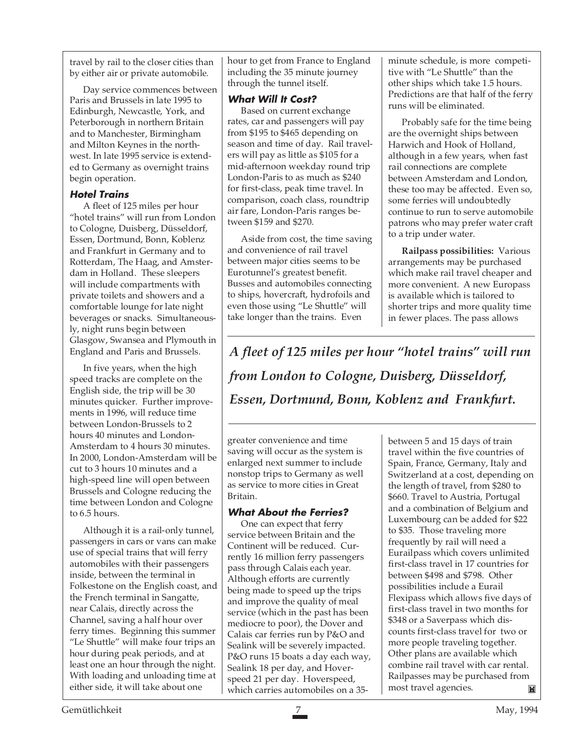travel by rail to the closer cities than by either air or private automobile.

Day service commences between Paris and Brussels in late 1995 to Edinburgh, Newcastle, York, and Peterborough in northern Britain and to Manchester, Birmingham and Milton Keynes in the northwest. In late 1995 service is extended to Germany as overnight trains begin operation.

### **Hotel Trains**

A fleet of 125 miles per hour "hotel trains" will run from London to Cologne, Duisberg, Düsseldorf, Essen, Dortmund, Bonn, Koblenz and Frankfurt in Germany and to Rotterdam, The Haag, and Amsterdam in Holland. These sleepers will include compartments with private toilets and showers and a comfortable lounge for late night beverages or snacks. Simultaneously, night runs begin between Glasgow, Swansea and Plymouth in England and Paris and Brussels.

In five years, when the high speed tracks are complete on the English side, the trip will be 30 minutes quicker. Further improvements in 1996, will reduce time between London-Brussels to 2 hours 40 minutes and London-Amsterdam to 4 hours 30 minutes. In 2000, London-Amsterdam will be cut to 3 hours 10 minutes and a high-speed line will open between Brussels and Cologne reducing the time between London and Cologne to 6.5 hours.

Although it is a rail-only tunnel, passengers in cars or vans can make use of special trains that will ferry automobiles with their passengers inside, between the terminal in Folkestone on the English coast, and the French terminal in Sangatte, near Calais, directly across the Channel, saving a half hour over ferry times. Beginning this summer "Le Shuttle" will make four trips an hour during peak periods, and at least one an hour through the night. With loading and unloading time at either side, it will take about one

hour to get from France to England including the 35 minute journey through the tunnel itself.

### **What Will It Cost?**

Based on current exchange rates, car and passengers will pay from \$195 to \$465 depending on season and time of day. Rail travelers will pay as little as \$105 for a mid-afternoon weekday round trip London-Paris to as much as \$240 for first-class, peak time travel. In comparison, coach class, roundtrip air fare, London-Paris ranges between \$159 and \$270.

Aside from cost, the time saving and convenience of rail travel between major cities seems to be Eurotunnel's greatest benefit. Busses and automobiles connecting to ships, hovercraft, hydrofoils and even those using "Le Shuttle" will take longer than the trains. Even

minute schedule, is more competitive with "Le Shuttle" than the other ships which take 1.5 hours. Predictions are that half of the ferry runs will be eliminated.

Probably safe for the time being are the overnight ships between Harwich and Hook of Holland, although in a few years, when fast rail connections are complete between Amsterdam and London, these too may be affected. Even so, some ferries will undoubtedly continue to run to serve automobile patrons who may prefer water craft to a trip under water.

**Railpass possibilities:** Various arrangements may be purchased which make rail travel cheaper and more convenient. A new Europass is available which is tailored to shorter trips and more quality time in fewer places. The pass allows

*A fleet of 125 miles per hour "hotel trains" will run from London to Cologne, Duisberg, Düsseldorf, Essen, Dortmund, Bonn, Koblenz and Frankfurt.*

greater convenience and time saving will occur as the system is enlarged next summer to include nonstop trips to Germany as well as service to more cities in Great Britain.

### **What About the Ferries?**

One can expect that ferry service between Britain and the Continent will be reduced. Currently 16 million ferry passengers pass through Calais each year. Although efforts are currently being made to speed up the trips and improve the quality of meal service (which in the past has been mediocre to poor), the Dover and Calais car ferries run by P&O and Sealink will be severely impacted. P&O runs 15 boats a day each way, Sealink 18 per day, and Hoverspeed 21 per day. Hoverspeed, which carries automobiles on a 35-

between 5 and 15 days of train travel within the five countries of Spain, France, Germany, Italy and Switzerland at a cost, depending on the length of travel, from \$280 to \$660. Travel to Austria, Portugal and a combination of Belgium and Luxembourg can be added for \$22 to \$35. Those traveling more frequently by rail will need a Eurailpass which covers unlimited first-class travel in 17 countries for between \$498 and \$798. Other possibilities include a Eurail Flexipass which allows five days of first-class travel in two months for \$348 or a Saverpass which discounts first-class travel for two or more people traveling together. Other plans are available which combine rail travel with car rental. Railpasses may be purchased from most travel agencies. M